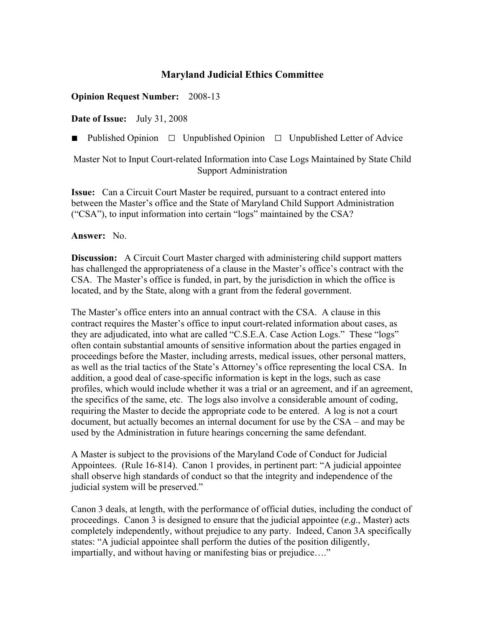## **Maryland Judicial Ethics Committee**

## **Opinion Request Number:** 2008-13

**Date of Issue:** July 31, 2008

■ Published Opinion □ Unpublished Opinion □ Unpublished Letter of Advice

Master Not to Input Court-related Information into Case Logs Maintained by State Child Support Administration

**Issue:** Can a Circuit Court Master be required, pursuant to a contract entered into between the Master's office and the State of Maryland Child Support Administration ("CSA"), to input information into certain "logs" maintained by the CSA?

**Answer:** No.

**Discussion:** A Circuit Court Master charged with administering child support matters has challenged the appropriateness of a clause in the Master's office's contract with the CSA. The Master's office is funded, in part, by the jurisdiction in which the office is located, and by the State, along with a grant from the federal government.

The Master's office enters into an annual contract with the CSA. A clause in this contract requires the Master's office to input court-related information about cases, as they are adjudicated, into what are called "C.S.E.A. Case Action Logs." These "logs" often contain substantial amounts of sensitive information about the parties engaged in proceedings before the Master, including arrests, medical issues, other personal matters, as well as the trial tactics of the State's Attorney's office representing the local CSA. In addition, a good deal of case-specific information is kept in the logs, such as case profiles, which would include whether it was a trial or an agreement, and if an agreement, the specifics of the same, etc. The logs also involve a considerable amount of coding, requiring the Master to decide the appropriate code to be entered. A log is not a court document, but actually becomes an internal document for use by the CSA – and may be used by the Administration in future hearings concerning the same defendant.

A Master is subject to the provisions of the Maryland Code of Conduct for Judicial Appointees. (Rule 16-814). Canon 1 provides, in pertinent part: "A judicial appointee shall observe high standards of conduct so that the integrity and independence of the judicial system will be preserved."

Canon 3 deals, at length, with the performance of official duties, including the conduct of proceedings. Canon 3 is designed to ensure that the judicial appointee (*e.g*., Master) acts completely independently, without prejudice to any party. Indeed, Canon 3A specifically states: "A judicial appointee shall perform the duties of the position diligently, impartially, and without having or manifesting bias or prejudice…."